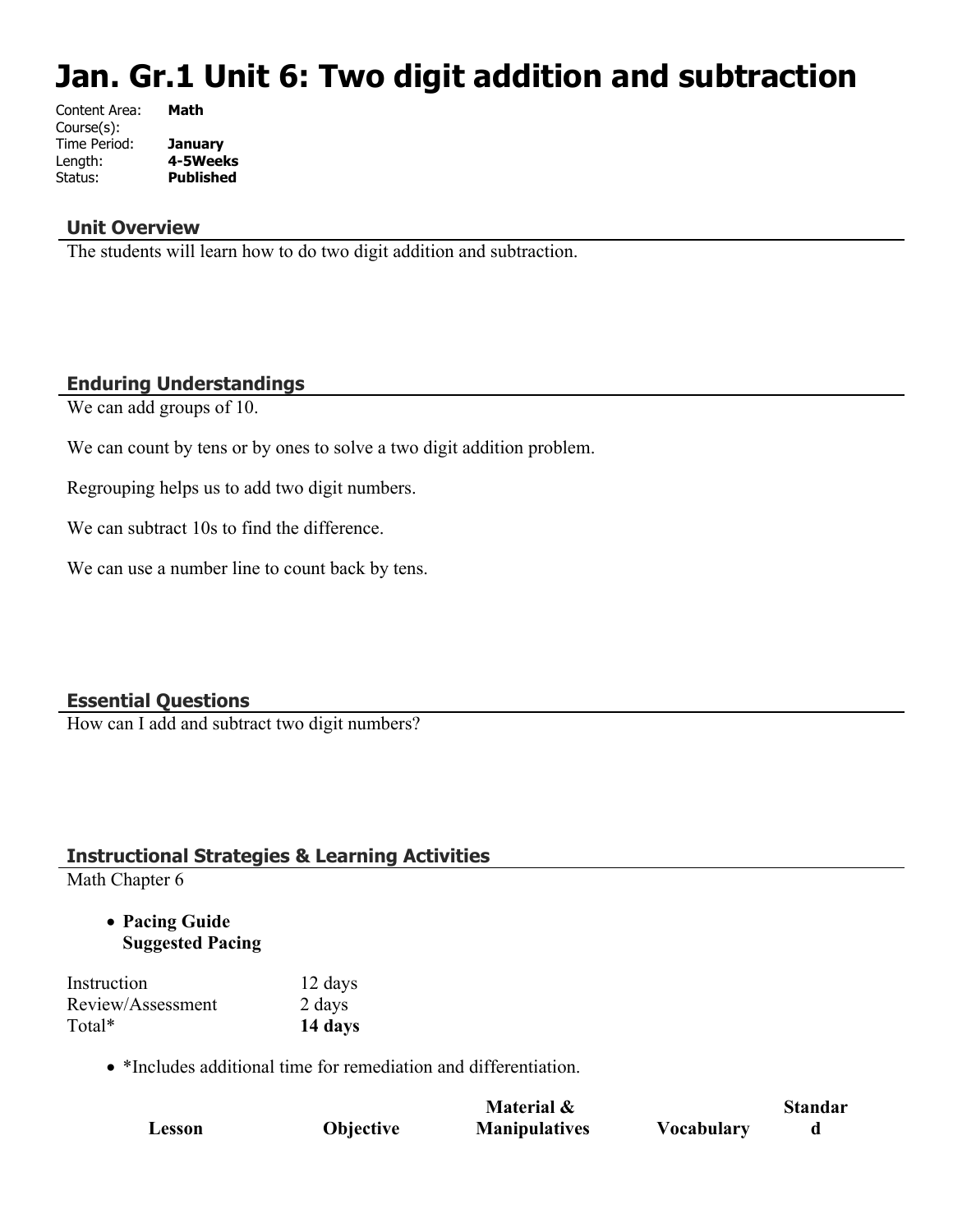# **Jan. Gr.1 Unit 6: Two digit addition and subtraction**

| Content Area: | Math             |
|---------------|------------------|
| Course(s):    |                  |
| Time Period:  | <b>January</b>   |
| Length:       | 4-5Weeks         |
| Status:       | <b>Published</b> |
|               |                  |

#### **Unit Overview**

The students will learn how to do two digit addition and subtraction.

## **Enduring Understandings**

We can add groups of 10.

We can count by tens or by ones to solve a two digit addition problem.

Regrouping helps us to add two digit numbers.

We can subtract 10s to find the difference.

We can use a number line to count back by tens.

## **Essential Questions**

How can I add and subtract two digit numbers?

## **Instructional Strategies & Learning Activities**

Math Chapter 6

 **Pacing Guide Suggested Pacing**

| Instruction       | 12 days |
|-------------------|---------|
| Review/Assessment | 2 days  |
| Total*            | 14 days |

• \*Includes additional time for remediation and differentiation.

|        |           | Material &           |                   | <b>Standar</b> |
|--------|-----------|----------------------|-------------------|----------------|
| Lesson | Objective | <b>Manipulatives</b> | <b>Vocabulary</b> |                |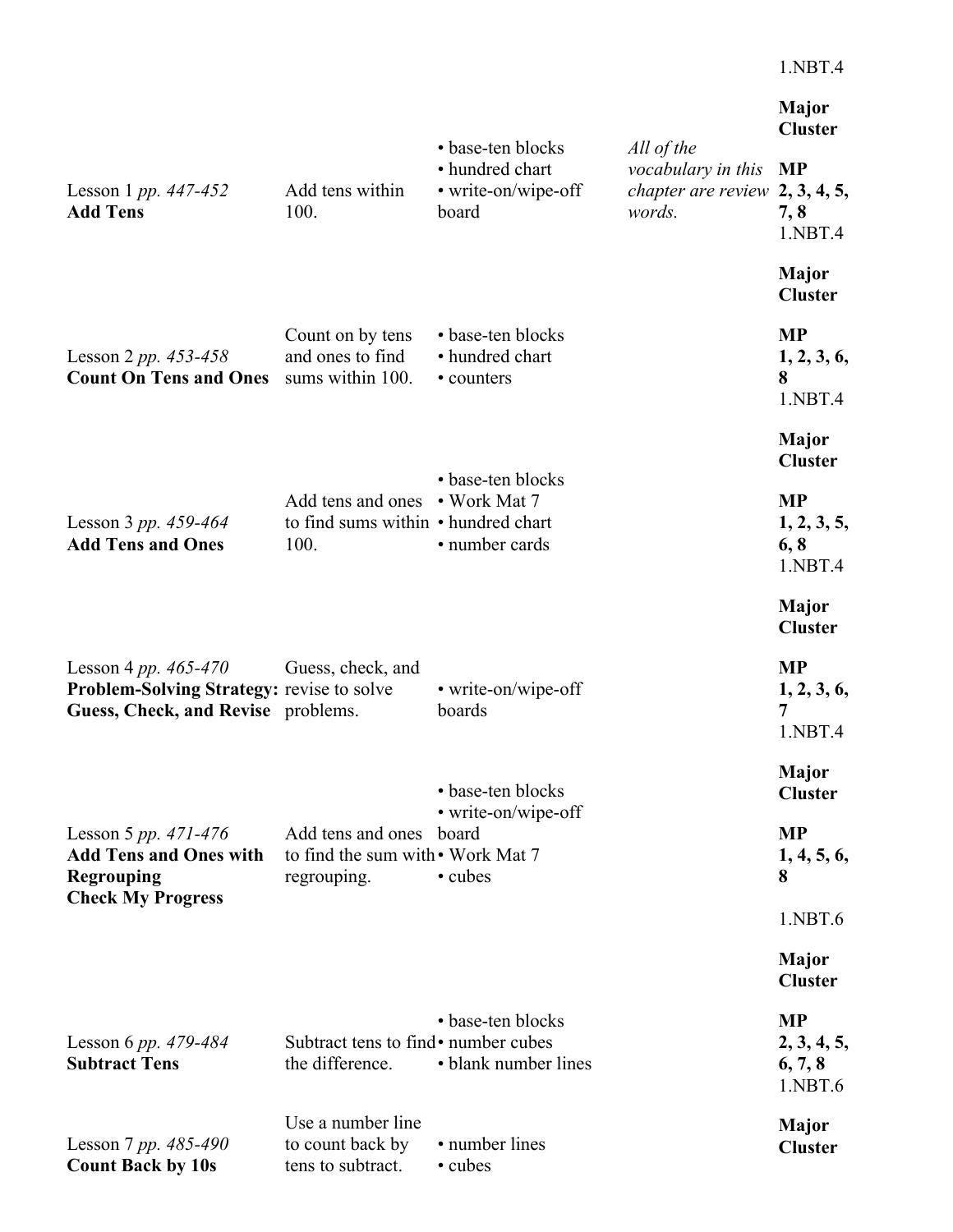|                                                                                                                    |                                                                               |                                                                      |                                                                                | <b>Major</b><br><b>Cluster</b>                 |
|--------------------------------------------------------------------------------------------------------------------|-------------------------------------------------------------------------------|----------------------------------------------------------------------|--------------------------------------------------------------------------------|------------------------------------------------|
| Lesson 1 pp. $447 - 452$<br><b>Add Tens</b>                                                                        | Add tens within<br>100.                                                       | • base-ten blocks<br>• hundred chart<br>• write-on/wipe-off<br>board | All of the<br>vocabulary in this<br>chapter are review $2, 3, 4, 5,$<br>words. | <b>MP</b><br>7, 8<br>1.NBT.4                   |
|                                                                                                                    |                                                                               |                                                                      |                                                                                | <b>Major</b><br><b>Cluster</b>                 |
| Lesson 2 pp. $453-458$<br><b>Count On Tens and Ones</b>                                                            | Count on by tens<br>and ones to find<br>sums within 100.                      | • base-ten blocks<br>• hundred chart<br>• counters                   |                                                                                | <b>MP</b><br>1, 2, 3, 6,<br>8<br>1.NBT.4       |
|                                                                                                                    |                                                                               |                                                                      |                                                                                | <b>Major</b><br><b>Cluster</b>                 |
| Lesson 3 pp. 459-464<br><b>Add Tens and Ones</b>                                                                   | Add tens and ones • Work Mat 7<br>to find sums within • hundred chart<br>100. | • base-ten blocks<br>• number cards                                  |                                                                                | <b>MP</b><br>1, 2, 3, 5,<br>6, 8<br>1.NBT.4    |
|                                                                                                                    |                                                                               |                                                                      |                                                                                | <b>Major</b><br><b>Cluster</b>                 |
| Lesson 4 pp. $465 - 470$<br><b>Problem-Solving Strategy: revise to solve</b><br>Guess, Check, and Revise problems. | Guess, check, and                                                             | • write-on/wipe-off<br>boards                                        |                                                                                | <b>MP</b><br>1, 2, 3, 6,<br>7<br>1.NBT.4       |
|                                                                                                                    |                                                                               | • base-ten blocks                                                    |                                                                                | <b>Major</b><br><b>Cluster</b>                 |
| Lesson 5 pp. $471-476$<br><b>Add Tens and Ones with</b><br><b>Regrouping</b><br><b>Check My Progress</b>           | Add tens and ones<br>to find the sum with • Work Mat 7<br>regrouping.         | • write-on/wipe-off<br>board<br>• cubes                              |                                                                                | <b>MP</b><br>1, 4, 5, 6,<br>8                  |
|                                                                                                                    |                                                                               |                                                                      |                                                                                | 1.NBT.6                                        |
|                                                                                                                    |                                                                               |                                                                      |                                                                                | <b>Major</b><br><b>Cluster</b>                 |
| Lesson 6 pp. 479-484<br><b>Subtract Tens</b>                                                                       | Subtract tens to find • number cubes<br>the difference.                       | • base-ten blocks<br>• blank number lines                            |                                                                                | <b>MP</b><br>2, 3, 4, 5,<br>6, 7, 8<br>1.NBT.6 |
| Lesson 7 pp. $485-490$<br><b>Count Back by 10s</b>                                                                 | Use a number line<br>to count back by<br>tens to subtract.                    | • number lines<br>• cubes                                            |                                                                                | <b>Major</b><br><b>Cluster</b>                 |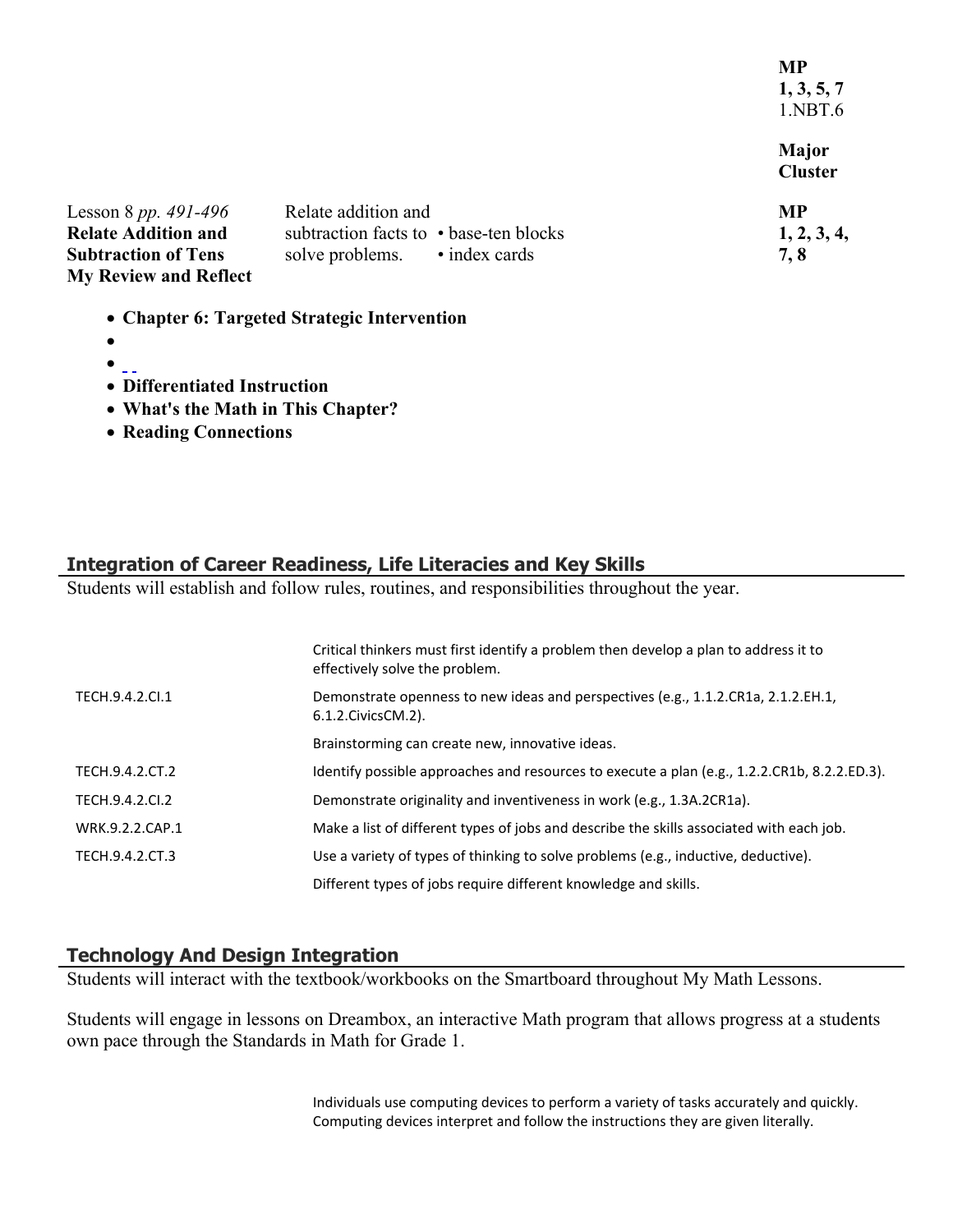**MP 1, 3, 5, 7** 1.NBT.6 **Major Cluster**

| Lesson 8 pp. 491-496         | Relate addition and                    | <b>MP</b>   |
|------------------------------|----------------------------------------|-------------|
| <b>Relate Addition and</b>   | subtraction facts to • base-ten blocks | 1, 2, 3, 4, |
| <b>Subtraction of Tens</b>   | solve problems.<br>• index cards       | 7.8         |
| <b>My Review and Reflect</b> |                                        |             |

- **Chapter 6: Targeted Strategic Intervention**
- $\bullet$
- $\bullet$   $\overline{\phantom{0}}$
- **Differentiated Instruction**
- **What's the Math in This Chapter?**
- **Reading Connections**

## **Integration of Career Readiness, Life Literacies and Key Skills**

Students will establish and follow rules, routines, and responsibilities throughout the year.

|                 | Critical thinkers must first identify a problem then develop a plan to address it to<br>effectively solve the problem. |
|-----------------|------------------------------------------------------------------------------------------------------------------------|
| TECH.9.4.2.Cl.1 | Demonstrate openness to new ideas and perspectives (e.g., 1.1.2.CR1a, 2.1.2.EH.1,<br>6.1.2. Civics CM. 2).             |
|                 | Brainstorming can create new, innovative ideas.                                                                        |
| TECH.9.4.2.CT.2 | Identify possible approaches and resources to execute a plan (e.g., 1.2.2.CR1b, 8.2.2.ED.3).                           |
| TECH.9.4.2.CI.2 | Demonstrate originality and inventiveness in work (e.g., 1.3A.2CR1a).                                                  |
| WRK.9.2.2.CAP.1 | Make a list of different types of jobs and describe the skills associated with each job.                               |
| TECH.9.4.2.CT.3 | Use a variety of types of thinking to solve problems (e.g., inductive, deductive).                                     |
|                 | Different types of jobs require different knowledge and skills.                                                        |

## **Technology And Design Integration**

Students will interact with the textbook/workbooks on the Smartboard throughout My Math Lessons.

Students will engage in lessons on Dreambox, an interactive Math program that allows progress at a students own pace through the Standards in Math for Grade 1.

> Individuals use computing devices to perform a variety of tasks accurately and quickly. Computing devices interpret and follow the instructions they are given literally.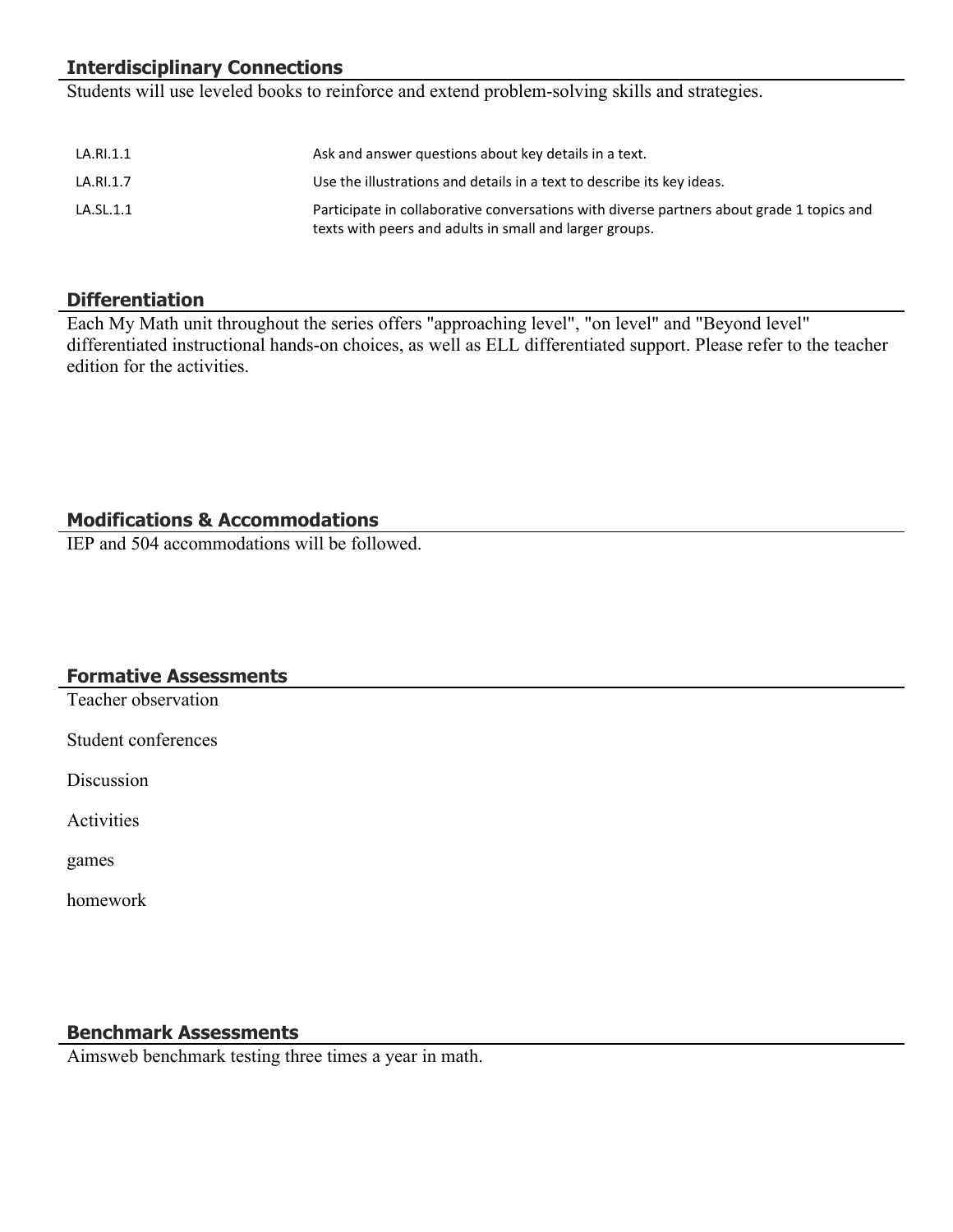## **Interdisciplinary Connections**

Students will use leveled books to reinforce and extend problem-solving skills and strategies.

| LA.RI.1.1 | Ask and answer questions about key details in a text.                                                                                                |
|-----------|------------------------------------------------------------------------------------------------------------------------------------------------------|
| LA.RI.1.7 | Use the illustrations and details in a text to describe its key ideas.                                                                               |
| LA.SL.1.1 | Participate in collaborative conversations with diverse partners about grade 1 topics and<br>texts with peers and adults in small and larger groups. |

## **Differentiation**

Each My Math unit throughout the series offers "approaching level", "on level" and "Beyond level" differentiated instructional hands-on choices, as well as ELL differentiated support. Please refer to the teacher edition for the activities.

## **Modifications & Accommodations**

IEP and 504 accommodations will be followed.

#### **Formative Assessments**

Teacher observation

Student conferences

Discussion

Activities

games

homework

## **Benchmark Assessments**

Aimsweb benchmark testing three times a year in math.